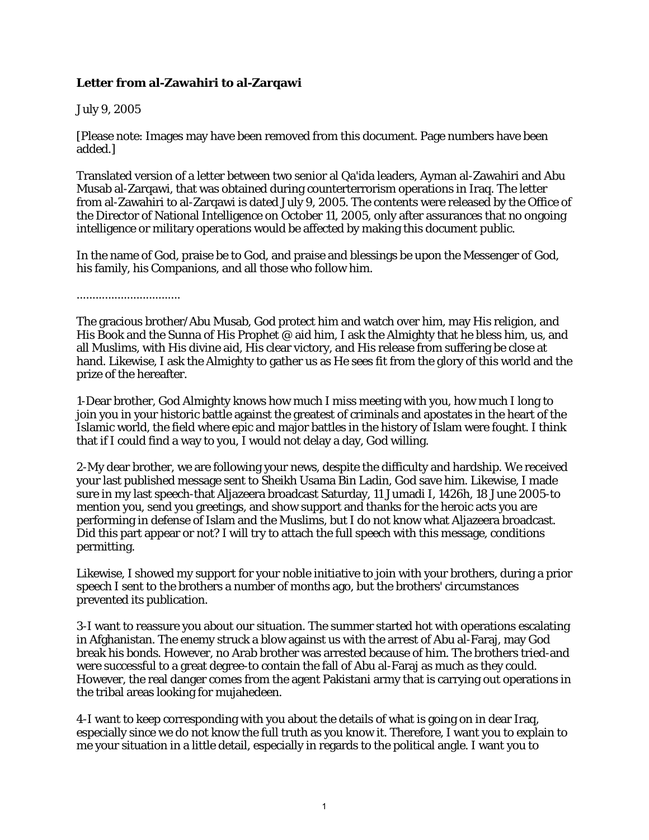## **Letter from al-Zawahiri to al-Zarqawi**

## July 9, 2005

[Please note: Images may have been removed from this document. Page numbers have been added.]

Translated version of a letter between two senior al Qa'ida leaders, Ayman al-Zawahiri and Abu Musab al-Zarqawi, that was obtained during counterterrorism operations in Iraq. The letter from al-Zawahiri to al-Zarqawi is dated July 9, 2005. The contents were released by the Office of the Director of National Intelligence on October 11, 2005, only after assurances that no ongoing intelligence or military operations would be affected by making this document public.

In the name of God, praise be to God, and praise and blessings be upon the Messenger of God, his family, his Companions, and all those who follow him.

.................................

The gracious brother/Abu Musab, God protect him and watch over him, may His religion, and His Book and the Sunna of His Prophet @ aid him, I ask the Almighty that he bless him, us, and all Muslims, with His divine aid, His clear victory, and His release from suffering be close at hand. Likewise, I ask the Almighty to gather us as He sees fit from the glory of this world and the prize of the hereafter.

1-Dear brother, God Almighty knows how much I miss meeting with you, how much I long to join you in your historic battle against the greatest of criminals and apostates in the heart of the Islamic world, the field where epic and major battles in the history of Islam were fought. I think that if I could find a way to you, I would not delay a day, God willing.

2-My dear brother, we are following your news, despite the difficulty and hardship. We received your last published message sent to Sheikh Usama Bin Ladin, God save him. Likewise, I made sure in my last speech-that Aljazeera broadcast Saturday, 11 Jumadi I, 1426h, 18 June 2005-to mention you, send you greetings, and show support and thanks for the heroic acts you are performing in defense of Islam and the Muslims, but I do not know what Aljazeera broadcast. Did this part appear or not? I will try to attach the full speech with this message, conditions permitting.

Likewise, I showed my support for your noble initiative to join with your brothers, during a prior speech I sent to the brothers a number of months ago, but the brothers' circumstances prevented its publication.

3-I want to reassure you about our situation. The summer started hot with operations escalating in Afghanistan. The enemy struck a blow against us with the arrest of Abu al-Faraj, may God break his bonds. However, no Arab brother was arrested because of him. The brothers tried-and were successful to a great degree-to contain the fall of Abu al-Faraj as much as they could. However, the real danger comes from the agent Pakistani army that is carrying out operations in the tribal areas looking for mujahedeen.

4-I want to keep corresponding with you about the details of what is going on in dear Iraq, especially since we do not know the full truth as you know it. Therefore, I want you to explain to me your situation in a little detail, especially in regards to the political angle. I want you to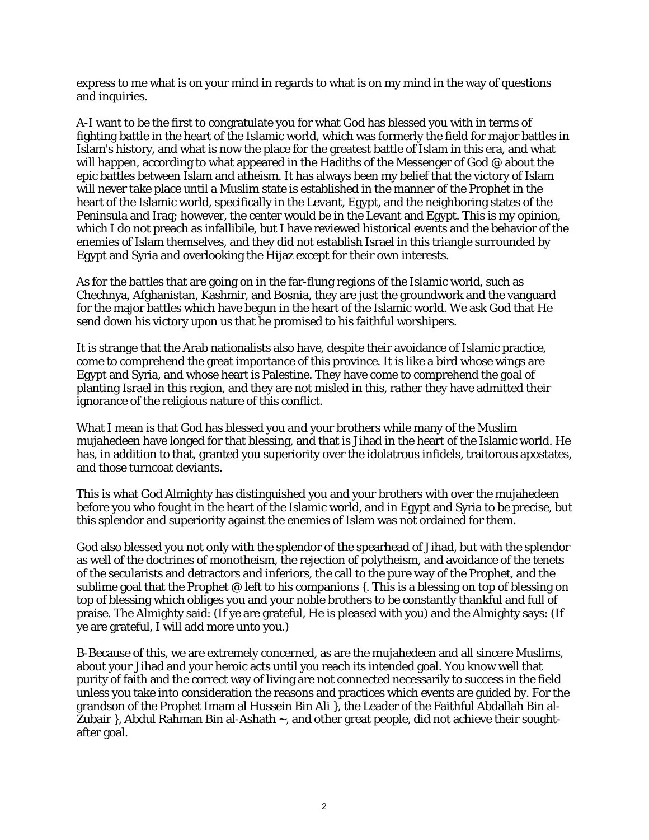express to me what is on your mind in regards to what is on my mind in the way of questions and inquiries.

A-I want to be the first to congratulate you for what God has blessed you with in terms of fighting battle in the heart of the Islamic world, which was formerly the field for major battles in Islam's history, and what is now the place for the greatest battle of Islam in this era, and what will happen, according to what appeared in the Hadiths of the Messenger of God @ about the epic battles between Islam and atheism. It has always been my belief that the victory of Islam will never take place until a Muslim state is established in the manner of the Prophet in the heart of the Islamic world, specifically in the Levant, Egypt, and the neighboring states of the Peninsula and Iraq; however, the center would be in the Levant and Egypt. This is my opinion, which I do not preach as infallibile, but I have reviewed historical events and the behavior of the enemies of Islam themselves, and they did not establish Israel in this triangle surrounded by Egypt and Syria and overlooking the Hijaz except for their own interests.

As for the battles that are going on in the far-flung regions of the Islamic world, such as Chechnya, Afghanistan, Kashmir, and Bosnia, they are just the groundwork and the vanguard for the major battles which have begun in the heart of the Islamic world. We ask God that He send down his victory upon us that he promised to his faithful worshipers.

It is strange that the Arab nationalists also have, despite their avoidance of Islamic practice, come to comprehend the great importance of this province. It is like a bird whose wings are Egypt and Syria, and whose heart is Palestine. They have come to comprehend the goal of planting Israel in this region, and they are not misled in this, rather they have admitted their ignorance of the religious nature of this conflict.

What I mean is that God has blessed you and your brothers while many of the Muslim mujahedeen have longed for that blessing, and that is Jihad in the heart of the Islamic world. He has, in addition to that, granted you superiority over the idolatrous infidels, traitorous apostates, and those turncoat deviants.

This is what God Almighty has distinguished you and your brothers with over the mujahedeen before you who fought in the heart of the Islamic world, and in Egypt and Syria to be precise, but this splendor and superiority against the enemies of Islam was not ordained for them.

God also blessed you not only with the splendor of the spearhead of Jihad, but with the splendor as well of the doctrines of monotheism, the rejection of polytheism, and avoidance of the tenets of the secularists and detractors and inferiors, the call to the pure way of the Prophet, and the sublime goal that the Prophet @ left to his companions {. This is a blessing on top of blessing on top of blessing which obliges you and your noble brothers to be constantly thankful and full of praise. The Almighty said: (If ye are grateful, He is pleased with you) and the Almighty says: (If ye are grateful, I will add more unto you.)

B-Because of this, we are extremely concerned, as are the mujahedeen and all sincere Muslims, about your Jihad and your heroic acts until you reach its intended goal. You know well that purity of faith and the correct way of living are not connected necessarily to success in the field unless you take into consideration the reasons and practices which events are guided by. For the grandson of the Prophet Imam al Hussein Bin Ali }, the Leader of the Faithful Abdallah Bin al-Zubair }, Abdul Rahman Bin al-Ashath  $\sim$ , and other great people, did not achieve their soughtafter goal.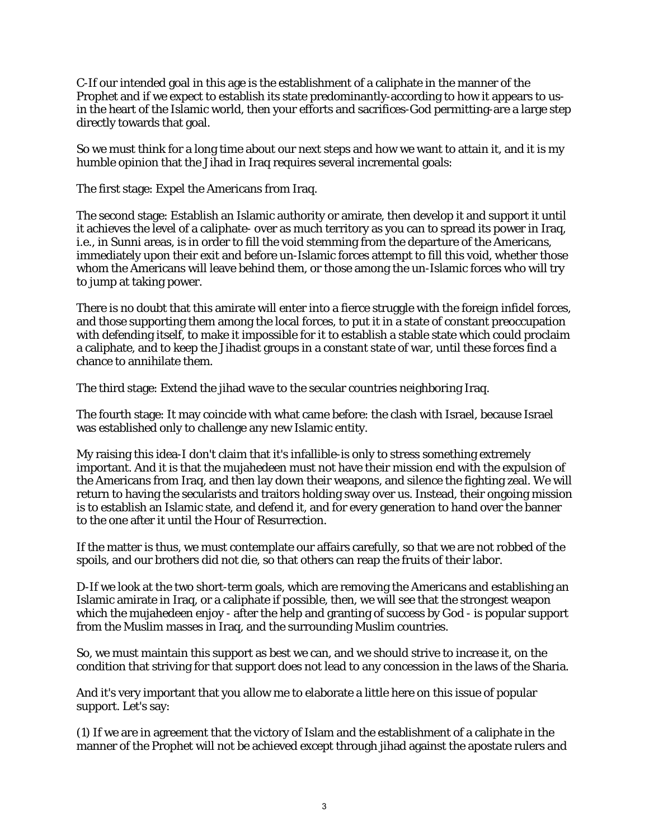C-If our intended goal in this age is the establishment of a caliphate in the manner of the Prophet and if we expect to establish its state predominantly-according to how it appears to usin the heart of the Islamic world, then your efforts and sacrifices-God permitting-are a large step directly towards that goal.

So we must think for a long time about our next steps and how we want to attain it, and it is my humble opinion that the Jihad in Iraq requires several incremental goals:

The first stage: Expel the Americans from Iraq.

The second stage: Establish an Islamic authority or amirate, then develop it and support it until it achieves the level of a caliphate- over as much territory as you can to spread its power in Iraq, i.e., in Sunni areas, is in order to fill the void stemming from the departure of the Americans, immediately upon their exit and before un-Islamic forces attempt to fill this void, whether those whom the Americans will leave behind them, or those among the un-Islamic forces who will try to jump at taking power.

There is no doubt that this amirate will enter into a fierce struggle with the foreign infidel forces, and those supporting them among the local forces, to put it in a state of constant preoccupation with defending itself, to make it impossible for it to establish a stable state which could proclaim a caliphate, and to keep the Jihadist groups in a constant state of war, until these forces find a chance to annihilate them.

The third stage: Extend the jihad wave to the secular countries neighboring Iraq.

The fourth stage: It may coincide with what came before: the clash with Israel, because Israel was established only to challenge any new Islamic entity.

My raising this idea-I don't claim that it's infallible-is only to stress something extremely important. And it is that the mujahedeen must not have their mission end with the expulsion of the Americans from Iraq, and then lay down their weapons, and silence the fighting zeal. We will return to having the secularists and traitors holding sway over us. Instead, their ongoing mission is to establish an Islamic state, and defend it, and for every generation to hand over the banner to the one after it until the Hour of Resurrection.

If the matter is thus, we must contemplate our affairs carefully, so that we are not robbed of the spoils, and our brothers did not die, so that others can reap the fruits of their labor.

D-If we look at the two short-term goals, which are removing the Americans and establishing an Islamic amirate in Iraq, or a caliphate if possible, then, we will see that the strongest weapon which the mujahedeen enjoy - after the help and granting of success by God - is popular support from the Muslim masses in Iraq, and the surrounding Muslim countries.

So, we must maintain this support as best we can, and we should strive to increase it, on the condition that striving for that support does not lead to any concession in the laws of the Sharia.

And it's very important that you allow me to elaborate a little here on this issue of popular support. Let's say:

(1) If we are in agreement that the victory of Islam and the establishment of a caliphate in the manner of the Prophet will not be achieved except through jihad against the apostate rulers and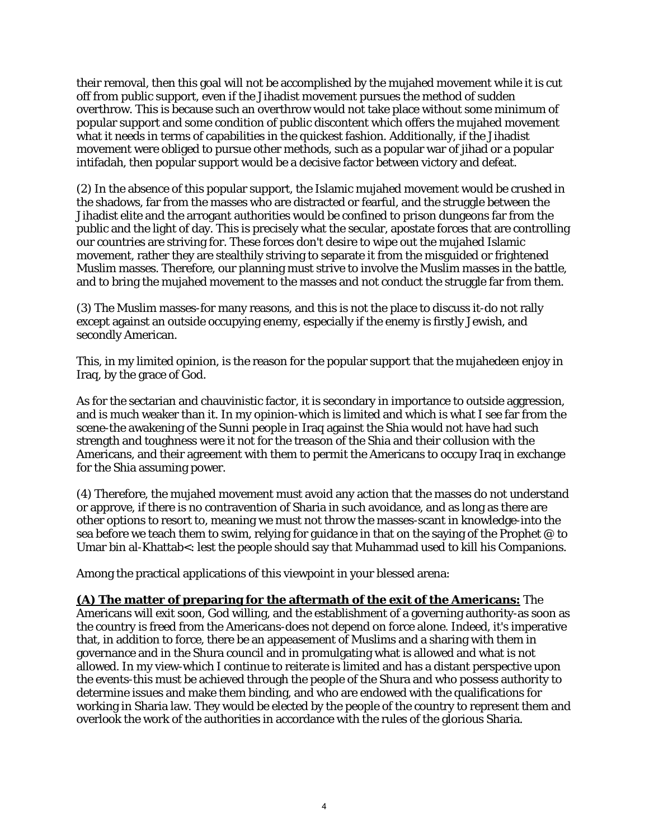their removal, then this goal will not be accomplished by the mujahed movement while it is cut off from public support, even if the Jihadist movement pursues the method of sudden overthrow. This is because such an overthrow would not take place without some minimum of popular support and some condition of public discontent which offers the mujahed movement what it needs in terms of capabilities in the quickest fashion. Additionally, if the Jihadist movement were obliged to pursue other methods, such as a popular war of jihad or a popular intifadah, then popular support would be a decisive factor between victory and defeat.

(2) In the absence of this popular support, the Islamic mujahed movement would be crushed in the shadows, far from the masses who are distracted or fearful, and the struggle between the Jihadist elite and the arrogant authorities would be confined to prison dungeons far from the public and the light of day. This is precisely what the secular, apostate forces that are controlling our countries are striving for. These forces don't desire to wipe out the mujahed Islamic movement, rather they are stealthily striving to separate it from the misguided or frightened Muslim masses. Therefore, our planning must strive to involve the Muslim masses in the battle, and to bring the mujahed movement to the masses and not conduct the struggle far from them.

(3) The Muslim masses-for many reasons, and this is not the place to discuss it-do not rally except against an outside occupying enemy, especially if the enemy is firstly Jewish, and secondly American.

This, in my limited opinion, is the reason for the popular support that the mujahedeen enjoy in Iraq, by the grace of God.

As for the sectarian and chauvinistic factor, it is secondary in importance to outside aggression, and is much weaker than it. In my opinion-which is limited and which is what I see far from the scene-the awakening of the Sunni people in Iraq against the Shia would not have had such strength and toughness were it not for the treason of the Shia and their collusion with the Americans, and their agreement with them to permit the Americans to occupy Iraq in exchange for the Shia assuming power.

(4) Therefore, the mujahed movement must avoid any action that the masses do not understand or approve, if there is no contravention of Sharia in such avoidance, and as long as there are other options to resort to, meaning we must not throw the masses-scant in knowledge-into the sea before we teach them to swim, relying for guidance in that on the saying of the Prophet @ to Umar bin al-Khattab<: lest the people should say that Muhammad used to kill his Companions.

Among the practical applications of this viewpoint in your blessed arena:

**(A) The matter of preparing for the aftermath of the exit of the Americans:** The Americans will exit soon, God willing, and the establishment of a governing authority-as soon as the country is freed from the Americans-does not depend on force alone. Indeed, it's imperative that, in addition to force, there be an appeasement of Muslims and a sharing with them in governance and in the Shura council and in promulgating what is allowed and what is not allowed. In my view-which I continue to reiterate is limited and has a distant perspective upon the events-this must be achieved through the people of the Shura and who possess authority to determine issues and make them binding, and who are endowed with the qualifications for working in Sharia law. They would be elected by the people of the country to represent them and overlook the work of the authorities in accordance with the rules of the glorious Sharia.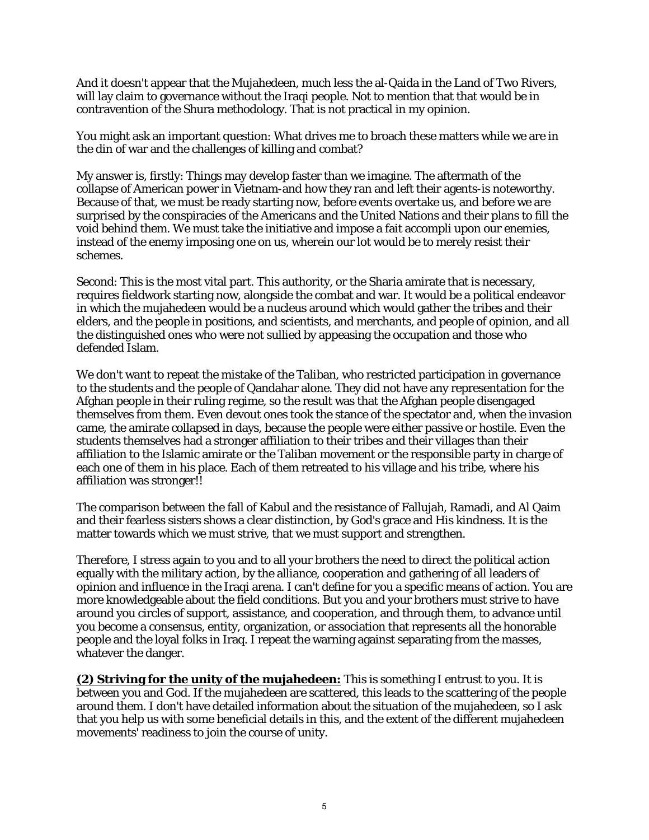And it doesn't appear that the Mujahedeen, much less the al-Qaida in the Land of Two Rivers, will lay claim to governance without the Iraqi people. Not to mention that that would be in contravention of the Shura methodology. That is not practical in my opinion.

You might ask an important question: What drives me to broach these matters while we are in the din of war and the challenges of killing and combat?

My answer is, firstly: Things may develop faster than we imagine. The aftermath of the collapse of American power in Vietnam-and how they ran and left their agents-is noteworthy. Because of that, we must be ready starting now, before events overtake us, and before we are surprised by the conspiracies of the Americans and the United Nations and their plans to fill the void behind them. We must take the initiative and impose a fait accompli upon our enemies, instead of the enemy imposing one on us, wherein our lot would be to merely resist their schemes.

Second: This is the most vital part. This authority, or the Sharia amirate that is necessary, requires fieldwork starting now, alongside the combat and war. It would be a political endeavor in which the mujahedeen would be a nucleus around which would gather the tribes and their elders, and the people in positions, and scientists, and merchants, and people of opinion, and all the distinguished ones who were not sullied by appeasing the occupation and those who defended Islam.

We don't want to repeat the mistake of the Taliban, who restricted participation in governance to the students and the people of Qandahar alone. They did not have any representation for the Afghan people in their ruling regime, so the result was that the Afghan people disengaged themselves from them. Even devout ones took the stance of the spectator and, when the invasion came, the amirate collapsed in days, because the people were either passive or hostile. Even the students themselves had a stronger affiliation to their tribes and their villages than their affiliation to the Islamic amirate or the Taliban movement or the responsible party in charge of each one of them in his place. Each of them retreated to his village and his tribe, where his affiliation was stronger!!

The comparison between the fall of Kabul and the resistance of Fallujah, Ramadi, and Al Qaim and their fearless sisters shows a clear distinction, by God's grace and His kindness. It is the matter towards which we must strive, that we must support and strengthen.

Therefore, I stress again to you and to all your brothers the need to direct the political action equally with the military action, by the alliance, cooperation and gathering of all leaders of opinion and influence in the Iraqi arena. I can't define for you a specific means of action. You are more knowledgeable about the field conditions. But you and your brothers must strive to have around you circles of support, assistance, and cooperation, and through them, to advance until you become a consensus, entity, organization, or association that represents all the honorable people and the loyal folks in Iraq. I repeat the warning against separating from the masses, whatever the danger.

**(2) Striving for the unity of the mujahedeen:** This is something I entrust to you. It is between you and God. If the mujahedeen are scattered, this leads to the scattering of the people around them. I don't have detailed information about the situation of the mujahedeen, so I ask that you help us with some beneficial details in this, and the extent of the different mujahedeen movements' readiness to join the course of unity.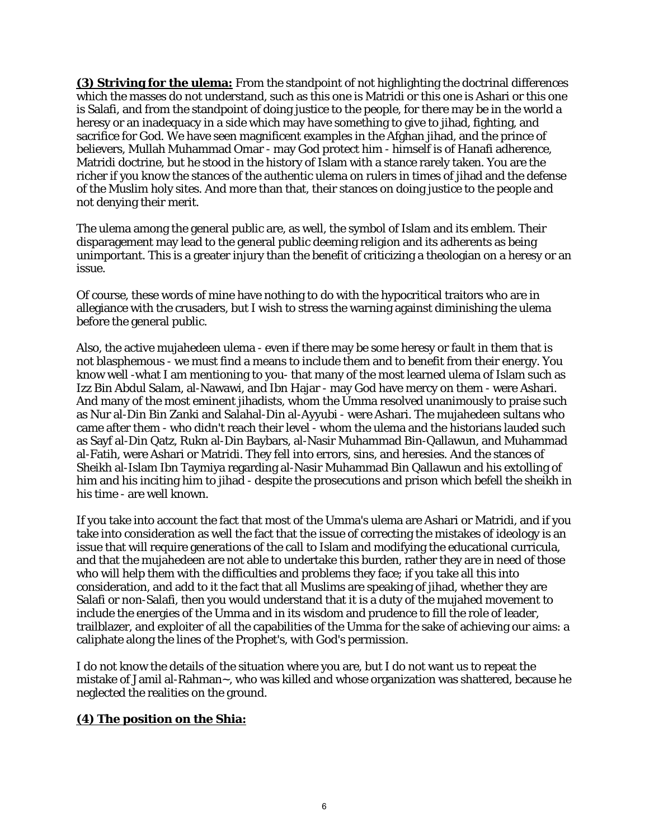**(3) Striving for the ulema:** From the standpoint of not highlighting the doctrinal differences which the masses do not understand, such as this one is Matridi or this one is Ashari or this one is Salafi, and from the standpoint of doing justice to the people, for there may be in the world a heresy or an inadequacy in a side which may have something to give to jihad, fighting, and sacrifice for God. We have seen magnificent examples in the Afghan jihad, and the prince of believers, Mullah Muhammad Omar - may God protect him - himself is of Hanafi adherence, Matridi doctrine, but he stood in the history of Islam with a stance rarely taken. You are the richer if you know the stances of the authentic ulema on rulers in times of jihad and the defense of the Muslim holy sites. And more than that, their stances on doing justice to the people and not denying their merit.

The ulema among the general public are, as well, the symbol of Islam and its emblem. Their disparagement may lead to the general public deeming religion and its adherents as being unimportant. This is a greater injury than the benefit of criticizing a theologian on a heresy or an issue.

Of course, these words of mine have nothing to do with the hypocritical traitors who are in allegiance with the crusaders, but I wish to stress the warning against diminishing the ulema before the general public.

Also, the active mujahedeen ulema - even if there may be some heresy or fault in them that is not blasphemous - we must find a means to include them and to benefit from their energy. You know well -what I am mentioning to you- that many of the most learned ulema of Islam such as Izz Bin Abdul Salam, al-Nawawi, and Ibn Hajar - may God have mercy on them - were Ashari. And many of the most eminent jihadists, whom the Umma resolved unanimously to praise such as Nur al-Din Bin Zanki and Salahal-Din al-Ayyubi - were Ashari. The mujahedeen sultans who came after them - who didn't reach their level - whom the ulema and the historians lauded such as Sayf al-Din Qatz, Rukn al-Din Baybars, al-Nasir Muhammad Bin-Qallawun, and Muhammad al-Fatih, were Ashari or Matridi. They fell into errors, sins, and heresies. And the stances of Sheikh al-Islam Ibn Taymiya regarding al-Nasir Muhammad Bin Qallawun and his extolling of him and his inciting him to jihad - despite the prosecutions and prison which befell the sheikh in his time - are well known.

If you take into account the fact that most of the Umma's ulema are Ashari or Matridi, and if you take into consideration as well the fact that the issue of correcting the mistakes of ideology is an issue that will require generations of the call to Islam and modifying the educational curricula, and that the mujahedeen are not able to undertake this burden, rather they are in need of those who will help them with the difficulties and problems they face; if you take all this into consideration, and add to it the fact that all Muslims are speaking of jihad, whether they are Salafi or non-Salafi, then you would understand that it is a duty of the mujahed movement to include the energies of the Umma and in its wisdom and prudence to fill the role of leader, trailblazer, and exploiter of all the capabilities of the Umma for the sake of achieving our aims: a caliphate along the lines of the Prophet's, with God's permission.

I do not know the details of the situation where you are, but I do not want us to repeat the mistake of Jamil al-Rahman~, who was killed and whose organization was shattered, because he neglected the realities on the ground.

## **(4) The position on the Shia:**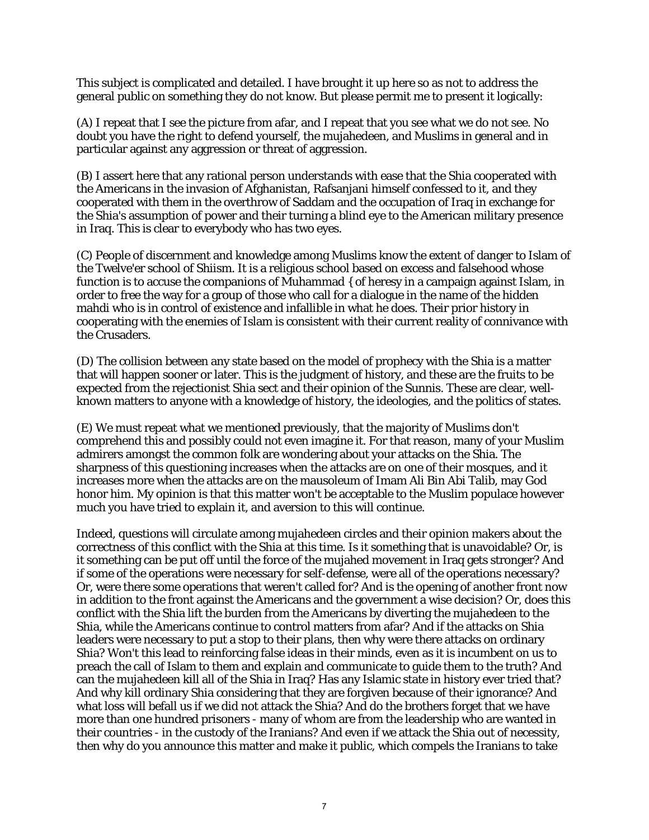This subject is complicated and detailed. I have brought it up here so as not to address the general public on something they do not know. But please permit me to present it logically:

(A) I repeat that I see the picture from afar, and I repeat that you see what we do not see. No doubt you have the right to defend yourself, the mujahedeen, and Muslims in general and in particular against any aggression or threat of aggression.

(B) I assert here that any rational person understands with ease that the Shia cooperated with the Americans in the invasion of Afghanistan, Rafsanjani himself confessed to it, and they cooperated with them in the overthrow of Saddam and the occupation of Iraq in exchange for the Shia's assumption of power and their turning a blind eye to the American military presence in Iraq. This is clear to everybody who has two eyes.

(C) People of discernment and knowledge among Muslims know the extent of danger to Islam of the Twelve'er school of Shiism. It is a religious school based on excess and falsehood whose function is to accuse the companions of Muhammad { of heresy in a campaign against Islam, in order to free the way for a group of those who call for a dialogue in the name of the hidden mahdi who is in control of existence and infallible in what he does. Their prior history in cooperating with the enemies of Islam is consistent with their current reality of connivance with the Crusaders.

(D) The collision between any state based on the model of prophecy with the Shia is a matter that will happen sooner or later. This is the judgment of history, and these are the fruits to be expected from the rejectionist Shia sect and their opinion of the Sunnis. These are clear, wellknown matters to anyone with a knowledge of history, the ideologies, and the politics of states.

(E) We must repeat what we mentioned previously, that the majority of Muslims don't comprehend this and possibly could not even imagine it. For that reason, many of your Muslim admirers amongst the common folk are wondering about your attacks on the Shia. The sharpness of this questioning increases when the attacks are on one of their mosques, and it increases more when the attacks are on the mausoleum of Imam Ali Bin Abi Talib, may God honor him. My opinion is that this matter won't be acceptable to the Muslim populace however much you have tried to explain it, and aversion to this will continue.

Indeed, questions will circulate among mujahedeen circles and their opinion makers about the correctness of this conflict with the Shia at this time. Is it something that is unavoidable? Or, is it something can be put off until the force of the mujahed movement in Iraq gets stronger? And if some of the operations were necessary for self-defense, were all of the operations necessary? Or, were there some operations that weren't called for? And is the opening of another front now in addition to the front against the Americans and the government a wise decision? Or, does this conflict with the Shia lift the burden from the Americans by diverting the mujahedeen to the Shia, while the Americans continue to control matters from afar? And if the attacks on Shia leaders were necessary to put a stop to their plans, then why were there attacks on ordinary Shia? Won't this lead to reinforcing false ideas in their minds, even as it is incumbent on us to preach the call of Islam to them and explain and communicate to guide them to the truth? And can the mujahedeen kill all of the Shia in Iraq? Has any Islamic state in history ever tried that? And why kill ordinary Shia considering that they are forgiven because of their ignorance? And what loss will befall us if we did not attack the Shia? And do the brothers forget that we have more than one hundred prisoners - many of whom are from the leadership who are wanted in their countries - in the custody of the Iranians? And even if we attack the Shia out of necessity, then why do you announce this matter and make it public, which compels the Iranians to take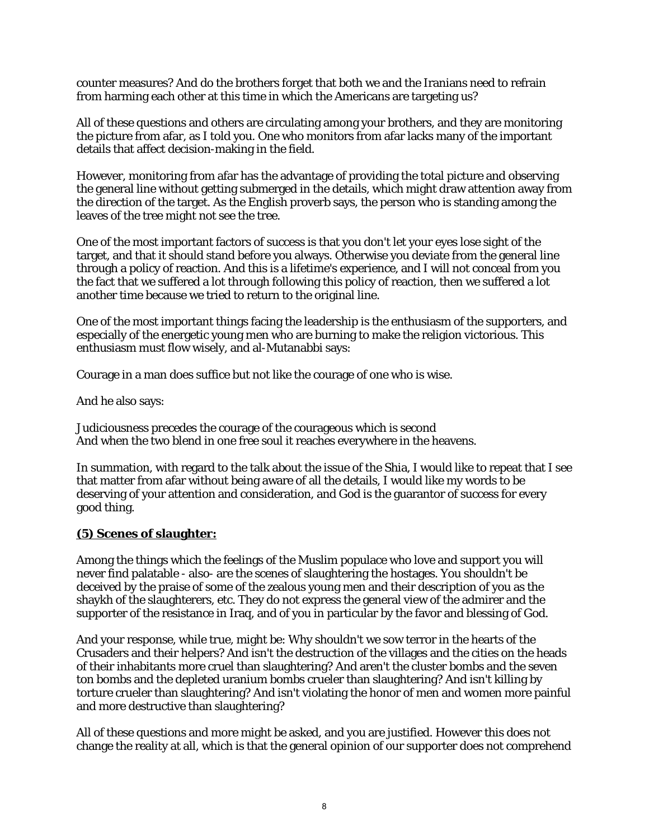counter measures? And do the brothers forget that both we and the Iranians need to refrain from harming each other at this time in which the Americans are targeting us?

All of these questions and others are circulating among your brothers, and they are monitoring the picture from afar, as I told you. One who monitors from afar lacks many of the important details that affect decision-making in the field.

However, monitoring from afar has the advantage of providing the total picture and observing the general line without getting submerged in the details, which might draw attention away from the direction of the target. As the English proverb says, the person who is standing among the leaves of the tree might not see the tree.

One of the most important factors of success is that you don't let your eyes lose sight of the target, and that it should stand before you always. Otherwise you deviate from the general line through a policy of reaction. And this is a lifetime's experience, and I will not conceal from you the fact that we suffered a lot through following this policy of reaction, then we suffered a lot another time because we tried to return to the original line.

One of the most important things facing the leadership is the enthusiasm of the supporters, and especially of the energetic young men who are burning to make the religion victorious. This enthusiasm must flow wisely, and al-Mutanabbi says:

Courage in a man does suffice but not like the courage of one who is wise.

And he also says:

Judiciousness precedes the courage of the courageous which is second And when the two blend in one free soul it reaches everywhere in the heavens.

In summation, with regard to the talk about the issue of the Shia, I would like to repeat that I see that matter from afar without being aware of all the details, I would like my words to be deserving of your attention and consideration, and God is the guarantor of success for every good thing.

## **(5) Scenes of slaughter:**

Among the things which the feelings of the Muslim populace who love and support you will never find palatable - also- are the scenes of slaughtering the hostages. You shouldn't be deceived by the praise of some of the zealous young men and their description of you as the shaykh of the slaughterers, etc. They do not express the general view of the admirer and the supporter of the resistance in Iraq, and of you in particular by the favor and blessing of God.

And your response, while true, might be: Why shouldn't we sow terror in the hearts of the Crusaders and their helpers? And isn't the destruction of the villages and the cities on the heads of their inhabitants more cruel than slaughtering? And aren't the cluster bombs and the seven ton bombs and the depleted uranium bombs crueler than slaughtering? And isn't killing by torture crueler than slaughtering? And isn't violating the honor of men and women more painful and more destructive than slaughtering?

All of these questions and more might be asked, and you are justified. However this does not change the reality at all, which is that the general opinion of our supporter does not comprehend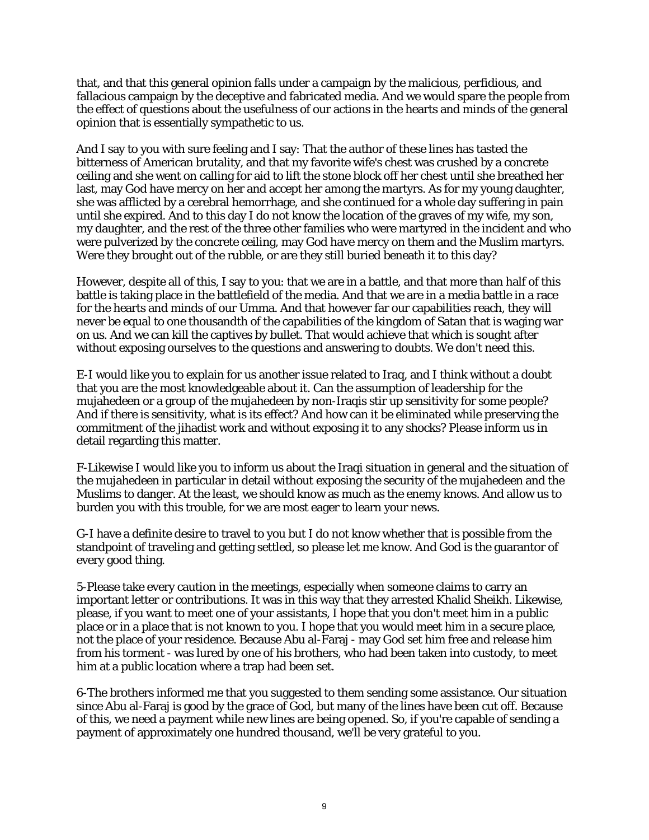that, and that this general opinion falls under a campaign by the malicious, perfidious, and fallacious campaign by the deceptive and fabricated media. And we would spare the people from the effect of questions about the usefulness of our actions in the hearts and minds of the general opinion that is essentially sympathetic to us.

And I say to you with sure feeling and I say: That the author of these lines has tasted the bitterness of American brutality, and that my favorite wife's chest was crushed by a concrete ceiling and she went on calling for aid to lift the stone block off her chest until she breathed her last, may God have mercy on her and accept her among the martyrs. As for my young daughter, she was afflicted by a cerebral hemorrhage, and she continued for a whole day suffering in pain until she expired. And to this day I do not know the location of the graves of my wife, my son, my daughter, and the rest of the three other families who were martyred in the incident and who were pulverized by the concrete ceiling, may God have mercy on them and the Muslim martyrs. Were they brought out of the rubble, or are they still buried beneath it to this day?

However, despite all of this, I say to you: that we are in a battle, and that more than half of this battle is taking place in the battlefield of the media. And that we are in a media battle in a race for the hearts and minds of our Umma. And that however far our capabilities reach, they will never be equal to one thousandth of the capabilities of the kingdom of Satan that is waging war on us. And we can kill the captives by bullet. That would achieve that which is sought after without exposing ourselves to the questions and answering to doubts. We don't need this.

E-I would like you to explain for us another issue related to Iraq, and I think without a doubt that you are the most knowledgeable about it. Can the assumption of leadership for the mujahedeen or a group of the mujahedeen by non-Iraqis stir up sensitivity for some people? And if there is sensitivity, what is its effect? And how can it be eliminated while preserving the commitment of the jihadist work and without exposing it to any shocks? Please inform us in detail regarding this matter.

F-Likewise I would like you to inform us about the Iraqi situation in general and the situation of the mujahedeen in particular in detail without exposing the security of the mujahedeen and the Muslims to danger. At the least, we should know as much as the enemy knows. And allow us to burden you with this trouble, for we are most eager to learn your news.

G-I have a definite desire to travel to you but I do not know whether that is possible from the standpoint of traveling and getting settled, so please let me know. And God is the guarantor of every good thing.

5-Please take every caution in the meetings, especially when someone claims to carry an important letter or contributions. It was in this way that they arrested Khalid Sheikh. Likewise, please, if you want to meet one of your assistants, I hope that you don't meet him in a public place or in a place that is not known to you. I hope that you would meet him in a secure place, not the place of your residence. Because Abu al-Faraj - may God set him free and release him from his torment - was lured by one of his brothers, who had been taken into custody, to meet him at a public location where a trap had been set.

6-The brothers informed me that you suggested to them sending some assistance. Our situation since Abu al-Faraj is good by the grace of God, but many of the lines have been cut off. Because of this, we need a payment while new lines are being opened. So, if you're capable of sending a payment of approximately one hundred thousand, we'll be very grateful to you.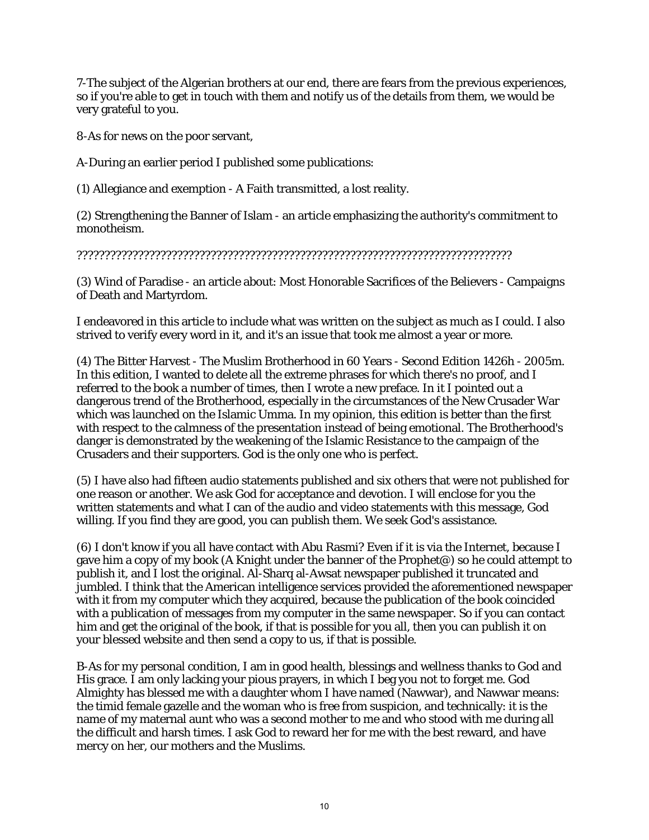7-The subject of the Algerian brothers at our end, there are fears from the previous experiences, so if you're able to get in touch with them and notify us of the details from them, we would be very grateful to you.

8-As for news on the poor servant,

A-During an earlier period I published some publications:

(1) Allegiance and exemption - A Faith transmitted, a lost reality.

(2) Strengthening the Banner of Islam - an article emphasizing the authority's commitment to monotheism.

??????????????????????????????????????????????????????????????????????????????

(3) Wind of Paradise - an article about: Most Honorable Sacrifices of the Believers - Campaigns of Death and Martyrdom.

I endeavored in this article to include what was written on the subject as much as I could. I also strived to verify every word in it, and it's an issue that took me almost a year or more.

(4) The Bitter Harvest - The Muslim Brotherhood in 60 Years - Second Edition 1426h - 2005m. In this edition, I wanted to delete all the extreme phrases for which there's no proof, and I referred to the book a number of times, then I wrote a new preface. In it I pointed out a dangerous trend of the Brotherhood, especially in the circumstances of the New Crusader War which was launched on the Islamic Umma. In my opinion, this edition is better than the first with respect to the calmness of the presentation instead of being emotional. The Brotherhood's danger is demonstrated by the weakening of the Islamic Resistance to the campaign of the Crusaders and their supporters. God is the only one who is perfect.

(5) I have also had fifteen audio statements published and six others that were not published for one reason or another. We ask God for acceptance and devotion. I will enclose for you the written statements and what I can of the audio and video statements with this message, God willing. If you find they are good, you can publish them. We seek God's assistance.

(6) I don't know if you all have contact with Abu Rasmi? Even if it is via the Internet, because I gave him a copy of my book (A Knight under the banner of the Prophet@) so he could attempt to publish it, and I lost the original. Al-Sharq al-Awsat newspaper published it truncated and jumbled. I think that the American intelligence services provided the aforementioned newspaper with it from my computer which they acquired, because the publication of the book coincided with a publication of messages from my computer in the same newspaper. So if you can contact him and get the original of the book, if that is possible for you all, then you can publish it on your blessed website and then send a copy to us, if that is possible.

B-As for my personal condition, I am in good health, blessings and wellness thanks to God and His grace. I am only lacking your pious prayers, in which I beg you not to forget me. God Almighty has blessed me with a daughter whom I have named (Nawwar), and Nawwar means: the timid female gazelle and the woman who is free from suspicion, and technically: it is the name of my maternal aunt who was a second mother to me and who stood with me during all the difficult and harsh times. I ask God to reward her for me with the best reward, and have mercy on her, our mothers and the Muslims.